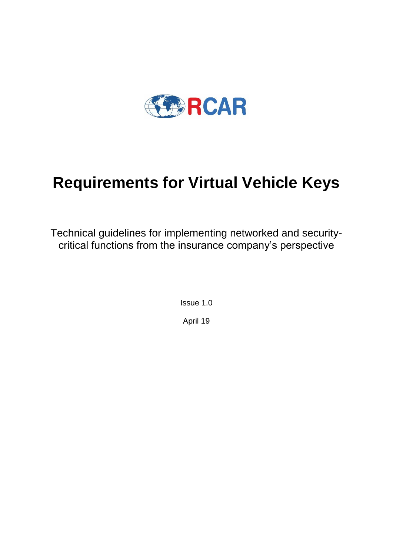

# **Requirements for Virtual Vehicle Keys**

Technical guidelines for implementing networked and securitycritical functions from the insurance company's perspective

> Issue 1.0 April 19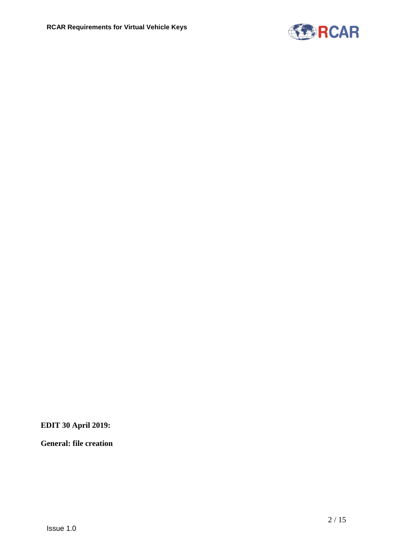

**EDIT 30 April 2019:**

**General: file creation**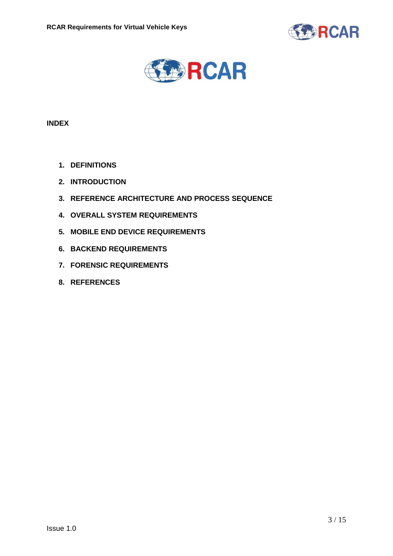



## **INDEX**

- **1. DEFINITIONS**
- **2. INTRODUCTION**
- **3. REFERENCE ARCHITECTURE AND PROCESS SEQUENCE**
- **4. OVERALL SYSTEM REQUIREMENTS**
- **5. MOBILE END DEVICE REQUIREMENTS**
- **6. BACKEND REQUIREMENTS**
- **7. FORENSIC REQUIREMENTS**
- **8. REFERENCES**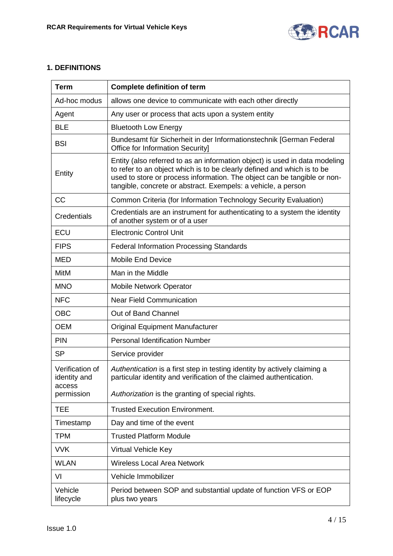

## **1. DEFINITIONS**

| <b>Term</b>                               | <b>Complete definition of term</b>                                                                                                                                                                                                                                                                  |
|-------------------------------------------|-----------------------------------------------------------------------------------------------------------------------------------------------------------------------------------------------------------------------------------------------------------------------------------------------------|
| Ad-hoc modus                              | allows one device to communicate with each other directly                                                                                                                                                                                                                                           |
| Agent                                     | Any user or process that acts upon a system entity                                                                                                                                                                                                                                                  |
| <b>BLE</b>                                | <b>Bluetooth Low Energy</b>                                                                                                                                                                                                                                                                         |
| <b>BSI</b>                                | Bundesamt für Sicherheit in der Informationstechnik [German Federal<br>Office for Information Security]                                                                                                                                                                                             |
| Entity                                    | Entity (also referred to as an information object) is used in data modeling<br>to refer to an object which is to be clearly defined and which is to be<br>used to store or process information. The object can be tangible or non-<br>tangible, concrete or abstract. Exempels: a vehicle, a person |
| <b>CC</b>                                 | Common Criteria (for Information Technology Security Evaluation)                                                                                                                                                                                                                                    |
| Credentials                               | Credentials are an instrument for authenticating to a system the identity<br>of another system or of a user                                                                                                                                                                                         |
| ECU                                       | <b>Electronic Control Unit</b>                                                                                                                                                                                                                                                                      |
| <b>FIPS</b>                               | <b>Federal Information Processing Standards</b>                                                                                                                                                                                                                                                     |
| <b>MED</b>                                | <b>Mobile End Device</b>                                                                                                                                                                                                                                                                            |
| MitM                                      | Man in the Middle                                                                                                                                                                                                                                                                                   |
| <b>MNO</b>                                | Mobile Network Operator                                                                                                                                                                                                                                                                             |
| <b>NFC</b>                                | <b>Near Field Communication</b>                                                                                                                                                                                                                                                                     |
| <b>OBC</b>                                | Out of Band Channel                                                                                                                                                                                                                                                                                 |
| <b>OEM</b>                                | <b>Original Equipment Manufacturer</b>                                                                                                                                                                                                                                                              |
| <b>PIN</b>                                | <b>Personal Identification Number</b>                                                                                                                                                                                                                                                               |
| <b>SP</b>                                 | Service provider                                                                                                                                                                                                                                                                                    |
| Verification of<br>identity and<br>access | Authentication is a first step in testing identity by actively claiming a<br>particular identity and verification of the claimed authentication.                                                                                                                                                    |
| permission                                | Authorization is the granting of special rights.                                                                                                                                                                                                                                                    |
| <b>TEE</b>                                | <b>Trusted Execution Environment.</b>                                                                                                                                                                                                                                                               |
| Timestamp                                 | Day and time of the event                                                                                                                                                                                                                                                                           |
| <b>TPM</b>                                | <b>Trusted Platform Module</b>                                                                                                                                                                                                                                                                      |
| <b>VVK</b>                                | <b>Virtual Vehicle Key</b>                                                                                                                                                                                                                                                                          |
| <b>WLAN</b>                               | <b>Wireless Local Area Network</b>                                                                                                                                                                                                                                                                  |
| VI                                        | Vehicle Immobilizer                                                                                                                                                                                                                                                                                 |
| Vehicle<br>lifecycle                      | Period between SOP and substantial update of function VFS or EOP<br>plus two years                                                                                                                                                                                                                  |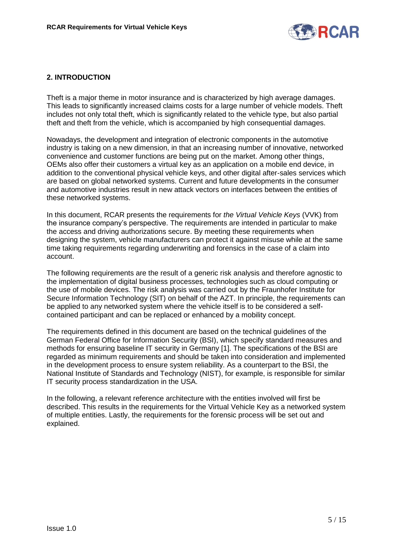

## **2. INTRODUCTION**

Theft is a major theme in motor insurance and is characterized by high average damages. This leads to significantly increased claims costs for a large number of vehicle models. Theft includes not only total theft, which is significantly related to the vehicle type, but also partial theft and theft from the vehicle, which is accompanied by high consequential damages.

Nowadays, the development and integration of electronic components in the automotive industry is taking on a new dimension, in that an increasing number of innovative, networked convenience and customer functions are being put on the market. Among other things, OEMs also offer their customers a virtual key as an application on a mobile end device, in addition to the conventional physical vehicle keys, and other digital after-sales services which are based on global networked systems. Current and future developments in the consumer and automotive industries result in new attack vectors on interfaces between the entities of these networked systems.

In this document, RCAR presents the requirements for *the Virtual Vehicle Keys* (VVK) from the insurance company's perspective. The requirements are intended in particular to make the access and driving authorizations secure. By meeting these requirements when designing the system, vehicle manufacturers can protect it against misuse while at the same time taking requirements regarding underwriting and forensics in the case of a claim into account.

The following requirements are the result of a generic risk analysis and therefore agnostic to the implementation of digital business processes, technologies such as cloud computing or the use of mobile devices. The risk analysis was carried out by the Fraunhofer Institute for Secure Information Technology (SIT) on behalf of the AZT. In principle, the requirements can be applied to any networked system where the vehicle itself is to be considered a selfcontained participant and can be replaced or enhanced by a mobility concept.

The requirements defined in this document are based on the technical guidelines of the German Federal Office for Information Security (BSI), which specify standard measures and methods for ensuring baseline IT security in Germany [\[1\]](#page-14-0). The specifications of the BSI are regarded as minimum requirements and should be taken into consideration and implemented in the development process to ensure system reliability. As a counterpart to the BSI, the National Institute of Standards and Technology (NIST), for example, is responsible for similar IT security process standardization in the USA.

In the following, a relevant reference architecture with the entities involved will first be described. This results in the requirements for the Virtual Vehicle Key as a networked system of multiple entities. Lastly, the requirements for the forensic process will be set out and explained.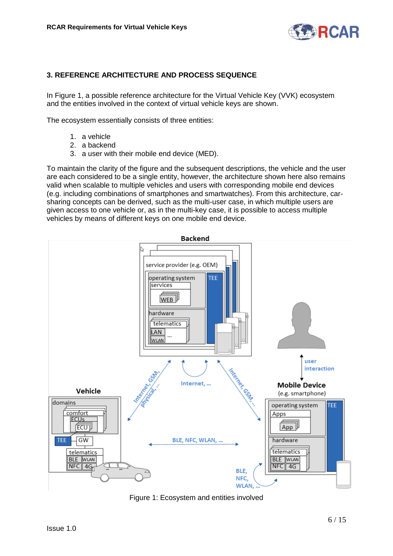

# **3. REFERENCE ARCHITECTURE AND PROCESS SEQUENCE**

In Figure 1, a possible reference architecture for the Virtual Vehicle Key (VVK) ecosystem and the entities involved in the context of virtual vehicle keys are shown.

The ecosystem essentially consists of three entities:

- 1. a vehicle
- 2. a backend
- 3. a user with their mobile end device (MED).

To maintain the clarity of the figure and the subsequent descriptions, the vehicle and the user are each considered to be a single entity, however, the architecture shown here also remains valid when scalable to multiple vehicles and users with corresponding mobile end devices (e.g. including combinations of smartphones and smartwatches). From this architecture, carsharing concepts can be derived, such as the multi-user case, in which multiple users are given access to one vehicle or, as in the multi-key case, it is possible to access multiple vehicles by means of different keys on one mobile end device.



Figure 1: Ecosystem and entities involved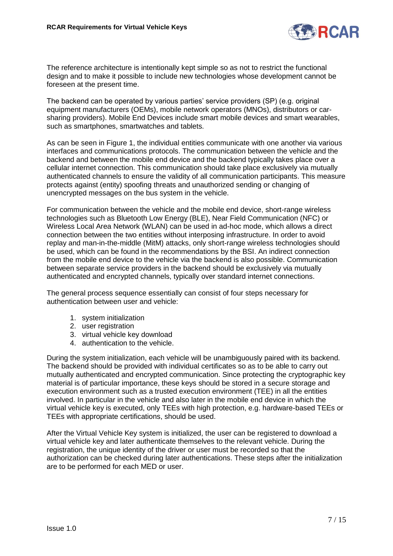

The reference architecture is intentionally kept simple so as not to restrict the functional design and to make it possible to include new technologies whose development cannot be foreseen at the present time.

The backend can be operated by various parties' service providers (SP) (e.g. original equipment manufacturers (OEMs), mobile network operators (MNOs), distributors or carsharing providers). Mobile End Devices include smart mobile devices and smart wearables, such as smartphones, smartwatches and tablets.

As can be seen in Figure 1, the individual entities communicate with one another via various interfaces and communications protocols. The communication between the vehicle and the backend and between the mobile end device and the backend typically takes place over a cellular internet connection. This communication should take place exclusively via mutually authenticated channels to ensure the validity of all communication participants. This measure protects against (entity) spoofing threats and unauthorized sending or changing of unencrypted messages on the bus system in the vehicle.

For communication between the vehicle and the mobile end device, short-range wireless technologies such as Bluetooth Low Energy (BLE), Near Field Communication (NFC) or Wireless Local Area Network (WLAN) can be used in ad-hoc mode, which allows a direct connection between the two entities without interposing infrastructure. In order to avoid replay and man-in-the-middle (MitM) attacks, only short-range wireless technologies should be used, which can be found in the recommendations by the BSI. An indirect connection from the mobile end device to the vehicle via the backend is also possible. Communication between separate service providers in the backend should be exclusively via mutually authenticated and encrypted channels, typically over standard internet connections.

The general process sequence essentially can consist of four steps necessary for authentication between user and vehicle:

- 1. system initialization
- 2. user registration
- 3. virtual vehicle key download
- 4. authentication to the vehicle.

During the system initialization, each vehicle will be unambiguously paired with its backend. The backend should be provided with individual certificates so as to be able to carry out mutually authenticated and encrypted communication. Since protecting the cryptographic key material is of particular importance, these keys should be stored in a secure storage and execution environment such as a trusted execution environment (TEE) in all the entities involved. In particular in the vehicle and also later in the mobile end device in which the virtual vehicle key is executed, only TEEs with high protection, e.g. hardware-based TEEs or TEEs with appropriate certifications, should be used.

After the Virtual Vehicle Key system is initialized, the user can be registered to download a virtual vehicle key and later authenticate themselves to the relevant vehicle. During the registration, the unique identity of the driver or user must be recorded so that the authorization can be checked during later authentications. These steps after the initialization are to be performed for each MED or user.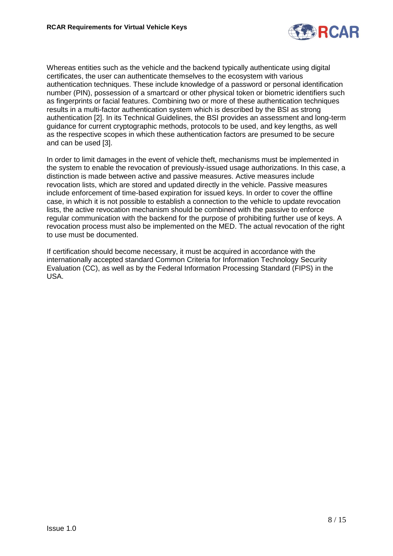

Whereas entities such as the vehicle and the backend typically authenticate using digital certificates, the user can authenticate themselves to the ecosystem with various authentication techniques. These include knowledge of a password or personal identification number (PIN), possession of a smartcard or other physical token or biometric identifiers such as fingerprints or facial features. Combining two or more of these authentication techniques results in a multi-factor authentication system which is described by the BSI as strong authentication [\[2\]](#page-14-1). In its Technical Guidelines, the BSI provides an assessment and long-term guidance for current cryptographic methods, protocols to be used, and key lengths, as well as the respective scopes in which these authentication factors are presumed to be secure and can be used [\[3\]](#page-14-2).

In order to limit damages in the event of vehicle theft, mechanisms must be implemented in the system to enable the revocation of previously-issued usage authorizations. In this case, a distinction is made between active and passive measures. Active measures include revocation lists, which are stored and updated directly in the vehicle. Passive measures include enforcement of time-based expiration for issued keys. In order to cover the offline case, in which it is not possible to establish a connection to the vehicle to update revocation lists, the active revocation mechanism should be combined with the passive to enforce regular communication with the backend for the purpose of prohibiting further use of keys. A revocation process must also be implemented on the MED. The actual revocation of the right to use must be documented.

If certification should become necessary, it must be acquired in accordance with the internationally accepted standard Common Criteria for Information Technology Security Evaluation (CC), as well as by the Federal Information Processing Standard (FIPS) in the USA.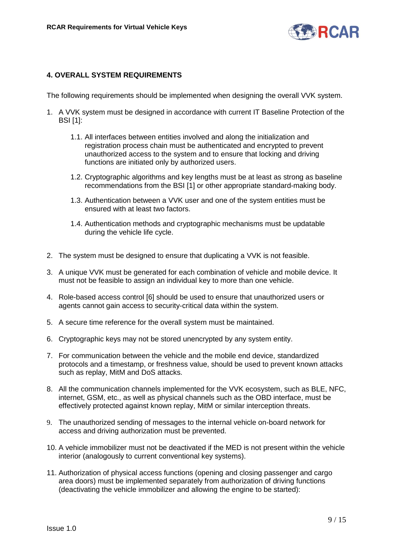

## **4. OVERALL SYSTEM REQUIREMENTS**

The following requirements should be implemented when designing the overall VVK system.

- 1. A VVK system must be designed in accordance with current IT Baseline Protection of the BSI [\[1\]](#page-14-0):
	- 1.1. All interfaces between entities involved and along the initialization and registration process chain must be authenticated and encrypted to prevent unauthorized access to the system and to ensure that locking and driving functions are initiated only by authorized users.
	- 1.2. Cryptographic algorithms and key lengths must be at least as strong as baseline recommendations from the BSI [\[1\]](#page-14-0) or other appropriate standard-making body.
	- 1.3. Authentication between a VVK user and one of the system entities must be ensured with at least two factors.
	- 1.4. Authentication methods and cryptographic mechanisms must be updatable during the vehicle life cycle.
- 2. The system must be designed to ensure that duplicating a VVK is not feasible.
- 3. A unique VVK must be generated for each combination of vehicle and mobile device. It must not be feasible to assign an individual key to more than one vehicle.
- 4. Role-based access control [\[6\]](#page-14-3) should be used to ensure that unauthorized users or agents cannot gain access to security-critical data within the system.
- 5. A secure time reference for the overall system must be maintained.
- 6. Cryptographic keys may not be stored unencrypted by any system entity.
- 7. For communication between the vehicle and the mobile end device, standardized protocols and a timestamp, or freshness value, should be used to prevent known attacks such as replay, MitM and DoS attacks.
- 8. All the communication channels implemented for the VVK ecosystem, such as BLE, NFC, internet, GSM, etc., as well as physical channels such as the OBD interface, must be effectively protected against known replay, MitM or similar interception threats.
- 9. The unauthorized sending of messages to the internal vehicle on-board network for access and driving authorization must be prevented.
- 10. A vehicle immobilizer must not be deactivated if the MED is not present within the vehicle interior (analogously to current conventional key systems).
- 11. Authorization of physical access functions (opening and closing passenger and cargo area doors) must be implemented separately from authorization of driving functions (deactivating the vehicle immobilizer and allowing the engine to be started):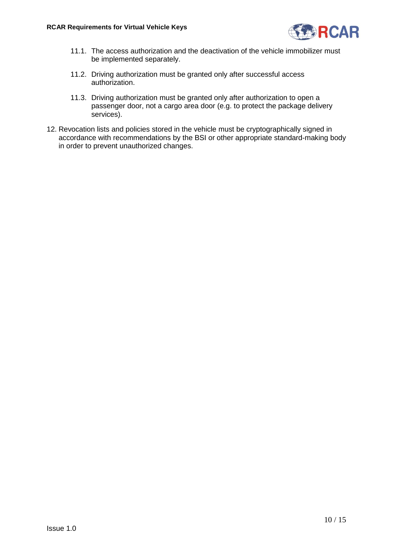

- 11.1. The access authorization and the deactivation of the vehicle immobilizer must be implemented separately.
- 11.2. Driving authorization must be granted only after successful access authorization.
- 11.3. Driving authorization must be granted only after authorization to open a passenger door, not a cargo area door (e.g. to protect the package delivery services).
- 12. Revocation lists and policies stored in the vehicle must be cryptographically signed in accordance with recommendations by the BSI or other appropriate standard-making body in order to prevent unauthorized changes.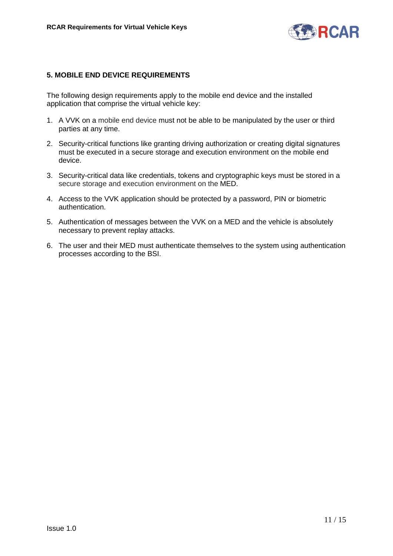

#### **5. MOBILE END DEVICE REQUIREMENTS**

The following design requirements apply to the mobile end device and the installed application that comprise the virtual vehicle key:

- 1. A VVK on a mobile end device must not be able to be manipulated by the user or third parties at any time.
- 2. Security-critical functions like granting driving authorization or creating digital signatures must be executed in a secure storage and execution environment on the mobile end device.
- 3. Security-critical data like credentials, tokens and cryptographic keys must be stored in a secure storage and execution environment on the MED.
- 4. Access to the VVK application should be protected by a password, PIN or biometric authentication.
- 5. Authentication of messages between the VVK on a MED and the vehicle is absolutely necessary to prevent replay attacks.
- 6. The user and their MED must authenticate themselves to the system using authentication processes according to the BSI.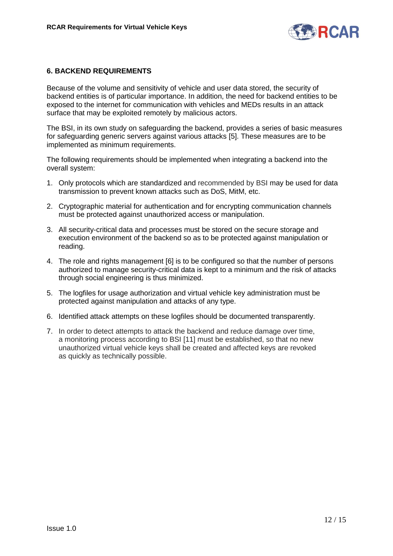

#### **6. BACKEND REQUIREMENTS**

Because of the volume and sensitivity of vehicle and user data stored, the security of backend entities is of particular importance. In addition, the need for backend entities to be exposed to the internet for communication with vehicles and MEDs results in an attack surface that may be exploited remotely by malicious actors.

The BSI, in its own study on safeguarding the backend, provides a series of basic measures for safeguarding generic servers against various attacks [\[5\]](#page-14-4). These measures are to be implemented as minimum requirements.

The following requirements should be implemented when integrating a backend into the overall system:

- 1. Only protocols which are standardized and recommended by BSI may be used for data transmission to prevent known attacks such as DoS, MitM, etc.
- 2. Cryptographic material for authentication and for encrypting communication channels must be protected against unauthorized access or manipulation.
- 3. All security-critical data and processes must be stored on the secure storage and execution environment of the backend so as to be protected against manipulation or reading.
- 4. The role and rights management [\[6\]](#page-14-3) is to be configured so that the number of persons authorized to manage security-critical data is kept to a minimum and the risk of attacks through social engineering is thus minimized.
- 5. The logfiles for usage authorization and virtual vehicle key administration must be protected against manipulation and attacks of any type.
- 6. Identified attack attempts on these logfiles should be documented transparently.
- 7. In order to detect attempts to attack the backend and reduce damage over time, a monitoring process according to BSI [\[11\]](#page-14-5) must be established, so that no new unauthorized virtual vehicle keys shall be created and affected keys are revoked as quickly as technically possible.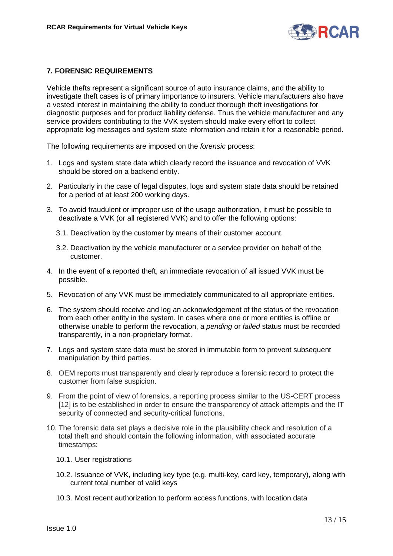

## **7. FORENSIC REQUIREMENTS**

Vehicle thefts represent a significant source of auto insurance claims, and the ability to investigate theft cases is of primary importance to insurers. Vehicle manufacturers also have a vested interest in maintaining the ability to conduct thorough theft investigations for diagnostic purposes and for product liability defense. Thus the vehicle manufacturer and any service providers contributing to the VVK system should make every effort to collect appropriate log messages and system state information and retain it for a reasonable period.

The following requirements are imposed on the *forensic* process:

- 1. Logs and system state data which clearly record the issuance and revocation of VVK should be stored on a backend entity.
- 2. Particularly in the case of legal disputes, logs and system state data should be retained for a period of at least 200 working days.
- 3. To avoid fraudulent or improper use of the usage authorization, it must be possible to deactivate a VVK (or all registered VVK) and to offer the following options:
	- 3.1. Deactivation by the customer by means of their customer account.
	- 3.2. Deactivation by the vehicle manufacturer or a service provider on behalf of the customer.
- 4. In the event of a reported theft, an immediate revocation of all issued VVK must be possible.
- 5. Revocation of any VVK must be immediately communicated to all appropriate entities.
- 6. The system should receive and log an acknowledgement of the status of the revocation from each other entity in the system. In cases where one or more entities is offline or otherwise unable to perform the revocation, a *pending* or *failed* status must be recorded transparently, in a non-proprietary format.
- 7. Logs and system state data must be stored in immutable form to prevent subsequent manipulation by third parties.
- 8. OEM reports must transparently and clearly reproduce a forensic record to protect the customer from false suspicion.
- 9. From the point of view of forensics, a reporting process similar to the US-CERT process [\[12\]](#page-14-6) is to be established in order to ensure the transparency of attack attempts and the IT security of connected and security-critical functions.
- 10. The forensic data set plays a decisive role in the plausibility check and resolution of a total theft and should contain the following information, with associated accurate timestamps:
	- 10.1. User registrations
	- 10.2. Issuance of VVK, including key type (e.g. multi-key, card key, temporary), along with current total number of valid keys
	- 10.3. Most recent authorization to perform access functions, with location data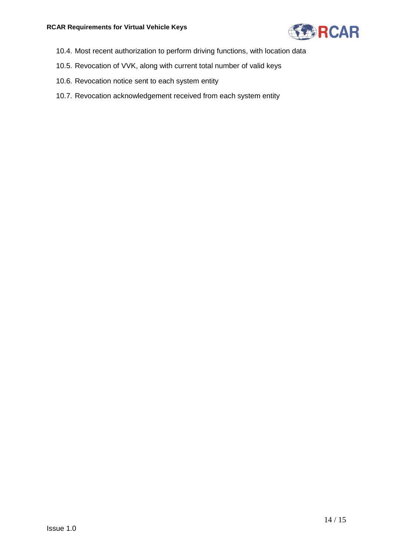

- 10.4. Most recent authorization to perform driving functions, with location data
- 10.5. Revocation of VVK, along with current total number of valid keys
- 10.6. Revocation notice sent to each system entity
- 10.7. Revocation acknowledgement received from each system entity